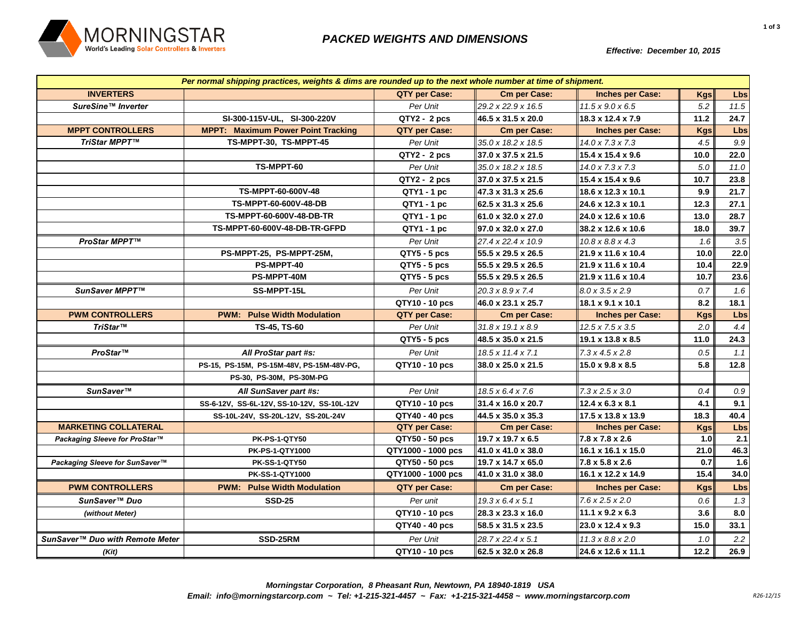

*Effective: December 10, 2015*

| Per normal shipping practices, weights & dims are rounded up to the next whole number at time of shipment. |                                            |                    |                                |                                |            |            |
|------------------------------------------------------------------------------------------------------------|--------------------------------------------|--------------------|--------------------------------|--------------------------------|------------|------------|
| <b>INVERTERS</b>                                                                                           |                                            | QTY per Case:      | <b>Cm per Case:</b>            | <b>Inches per Case:</b>        | <b>Kgs</b> | Lbs        |
| SureSine™ Inverter                                                                                         |                                            | Per Unit           | 29.2 x 22.9 x 16.5             | $11.5 \times 9.0 \times 6.5$   | 5.2        | 11.5       |
|                                                                                                            | SI-300-115V-UL, SI-300-220V                | $QTY2 - 2 pcs$     | 46.5 x 31.5 x 20.0             | 18.3 x 12.4 x 7.9              | 11.2       | 24.7       |
| <b>MPPT CONTROLLERS</b>                                                                                    | <b>MPPT: Maximum Power Point Tracking</b>  | QTY per Case:      | <b>Cm per Case:</b>            | <b>Inches per Case:</b>        | <b>Kgs</b> | <b>Lbs</b> |
| TriStar MPPT™                                                                                              | TS-MPPT-30, TS-MPPT-45                     | Per Unit           | 35.0 x 18.2 x 18.5             | $14.0 \times 7.3 \times 7.3$   | 4.5        | 9.9        |
|                                                                                                            |                                            | QTY2 - 2 pcs       | 37.0 x 37.5 x 21.5             | $15.4 \times 15.4 \times 9.6$  | 10.0       | 22.0       |
|                                                                                                            | TS-MPPT-60                                 | Per Unit           | 35.0 x 18.2 x 18.5             | 14.0 x 7.3 x 7.3               | 5.0        | 11.0       |
|                                                                                                            |                                            | QTY2 - 2 pcs       | 37.0 x 37.5 x 21.5             | 15.4 x 15.4 x 9.6              | 10.7       | 23.8       |
|                                                                                                            | TS-MPPT-60-600V-48                         | QTY1 - 1 pc        | 47.3 x 31.3 x 25.6             | 18.6 x 12.3 x 10.1             | 9.9        | 21.7       |
|                                                                                                            | TS-MPPT-60-600V-48-DB                      | QTY1 - 1 pc        | 62.5 x 31.3 x 25.6             | 24.6 x 12.3 x 10.1             | 12.3       | 27.1       |
|                                                                                                            | TS-MPPT-60-600V-48-DB-TR                   | $QTY1 - 1 pc$      | 61.0 x 32.0 x 27.0             | 24.0 x 12.6 x 10.6             | 13.0       | 28.7       |
|                                                                                                            | TS-MPPT-60-600V-48-DB-TR-GFPD              | QTY1 - 1 pc        | $97.0 \times 32.0 \times 27.0$ | 38.2 x 12.6 x 10.6             | 18.0       | 39.7       |
| ProStar MPPT™                                                                                              |                                            | Per Unit           | 27.4 x 22.4 x 10.9             | $10.8 \times 8.8 \times 4.3$   | 1.6        | 3.5        |
|                                                                                                            | PS-MPPT-25, PS-MPPT-25M,                   | QTY5 - 5 pcs       | 55.5 x 29.5 x 26.5             | 21.9 x 11.6 x 10.4             | 10.0       | 22.0       |
|                                                                                                            | PS-MPPT-40                                 | QTY5 - 5 pcs       | 55.5 x 29.5 x 26.5             | 21.9 x 11.6 x 10.4             | 10.4       | 22.9       |
|                                                                                                            | PS-MPPT-40M                                | QTY5 - 5 pcs       | 55.5 x 29.5 x 26.5             | 21.9 x 11.6 x 10.4             | 10.7       | 23.6       |
| SunSaver MPPT™                                                                                             | SS-MPPT-15L                                | Per Unit           | 20.3 x 8.9 x 7.4               | $8.0 \times 3.5 \times 2.9$    | 0.7        | 1.6        |
|                                                                                                            |                                            | QTY10 - 10 pcs     | 46.0 x 23.1 x 25.7             | $18.1 \times 9.1 \times 10.1$  | 8.2        | 18.1       |
| <b>PWM CONTROLLERS</b>                                                                                     | <b>PWM: Pulse Width Modulation</b>         | QTY per Case:      | <b>Cm per Case:</b>            | <b>Inches per Case:</b>        | <b>Kgs</b> | Lbs        |
| TriStar™                                                                                                   | TS-45, TS-60                               | Per Unit           | 31.8 x 19.1 x 8.9              | 12.5 x 7.5 x 3.5               | 2.0        | 4.4        |
|                                                                                                            |                                            | QTY5 - 5 pcs       | 48.5 x 35.0 x 21.5             | 19.1 x 13.8 x 8.5              | 11.0       | 24.3       |
| ProStar™                                                                                                   | All ProStar part #s:                       | Per Unit           | 18.5 x 11.4 x 7.1              | $7.3 \times 4.5 \times 2.8$    | 0.5        | 1.1        |
|                                                                                                            | PS-15, PS-15M, PS-15M-48V, PS-15M-48V-PG,  | QTY10 - 10 pcs     | 38.0 x 25.0 x 21.5             | 15.0 x 9.8 x 8.5               | 5.8        | 12.8       |
|                                                                                                            | PS-30, PS-30M, PS-30M-PG                   |                    |                                |                                |            |            |
| SunSaver™                                                                                                  | All SunSaver part #s:                      | Per Unit           | $18.5 \times 6.4 \times 7.6$   | $7.3 \times 2.5 \times 3.0$    | 0.4        | $0.9\,$    |
|                                                                                                            | SS-6-12V, SS-6L-12V, SS-10-12V, SS-10L-12V | QTY10 - 10 pcs     | 31.4 x 16.0 x 20.7             | $12.4 \times 6.3 \times 8.1$   | 4.1        | 9.1        |
|                                                                                                            | SS-10L-24V, SS-20L-12V, SS-20L-24V         | QTY40 - 40 pcs     | 44.5 x 35.0 x 35.3             | 17.5 x 13.8 x 13.9             | 18.3       | 40.4       |
| <b>MARKETING COLLATERAL</b>                                                                                |                                            | QTY per Case:      | <b>Cm per Case:</b>            | <b>Inches per Case:</b>        | <b>Kgs</b> | Lbs        |
| Packaging Sleeve for ProStar™                                                                              | <b>PK-PS-1-QTY50</b>                       | QTY50 - 50 pcs     | 19.7 x 19.7 x 6.5              | 7.8 x 7.8 x 2.6                | 1.0        | 2.1        |
|                                                                                                            | PK-PS-1-QTY1000                            | QTY1000 - 1000 pcs | 41.0 x 41.0 x 38.0             | 16.1 x 16.1 x 15.0             | 21.0       | 46.3       |
| Packaging Sleeve for SunSaver™                                                                             | <b>PK-SS-1-QTY50</b>                       | QTY50 - 50 pcs     | 19.7 x 14.7 x 65.0             | 7.8 x 5.8 x 2.6                | 0.7        | 1.6        |
|                                                                                                            | <b>PK-SS-1-QTY1000</b>                     | QTY1000 - 1000 pcs | 41.0 x 31.0 x 38.0             | 16.1 x 12.2 x 14.9             | 15.4       | 34.0       |
| <b>PWM CONTROLLERS</b>                                                                                     | <b>PWM: Pulse Width Modulation</b>         | QTY per Case:      | <b>Cm per Case:</b>            | <b>Inches per Case:</b>        | <b>Kgs</b> | <b>Lbs</b> |
| SunSaver™ Duo                                                                                              | <b>SSD-25</b>                              | Per unit           | $19.3 \times 6.4 \times 5.1$   | $7.6 \times 2.5 \times 2.0$    | 0.6        | 1.3        |
| (without Meter)                                                                                            |                                            | QTY10 - 10 pcs     | 28.3 x 23.3 x 16.0             | 11.1 $\times$ 9.2 $\times$ 6.3 | 3.6        | 8.0        |
|                                                                                                            |                                            | QTY40 - 40 pcs     | 58.5 x 31.5 x 23.5             | 23.0 x 12.4 x 9.3              | 15.0       | 33.1       |
| SunSaver™ Duo with Remote Meter                                                                            | SSD-25RM                                   | Per Unit           | 28.7 x 22.4 x 5.1              | $11.3 \times 8.8 \times 2.0$   | 1.0        | 2.2        |
| (Kit)                                                                                                      |                                            | QTY10 - 10 pcs     | 62.5 x 32.0 x 26.8             | 24.6 x 12.6 x 11.1             | 12.2       | 26.9       |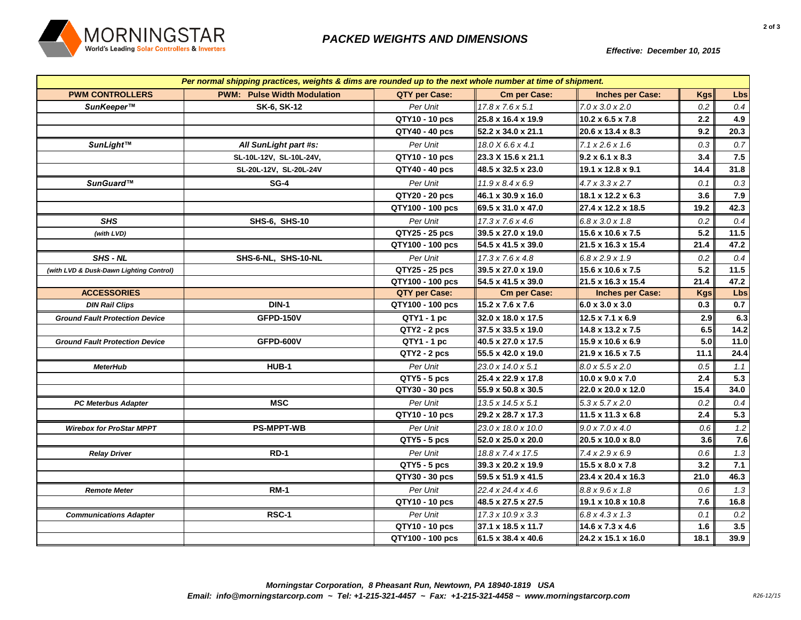

*Effective: December 10, 2015*

| Per normal shipping practices, weights & dims are rounded up to the next whole number at time of shipment. |                                    |                  |                               |                               |            |      |  |
|------------------------------------------------------------------------------------------------------------|------------------------------------|------------------|-------------------------------|-------------------------------|------------|------|--|
| <b>PWM CONTROLLERS</b>                                                                                     | <b>PWM: Pulse Width Modulation</b> | QTY per Case:    | <b>Cm per Case:</b>           | <b>Inches per Case:</b>       | <b>Kgs</b> | Lbs  |  |
| SunKeeper™                                                                                                 | SK-6, SK-12                        | Per Unit         | $17.8 \times 7.6 \times 5.1$  | $7.0 \times 3.0 \times 2.0$   | 0.2        | 0.4  |  |
|                                                                                                            |                                    | QTY10 - 10 pcs   | 25.8 x 16.4 x 19.9            | $10.2 \times 6.5 \times 7.8$  | 2.2        | 4.9  |  |
|                                                                                                            |                                    | QTY40 - 40 pcs   | 52.2 x 34.0 x 21.1            | 20.6 x 13.4 x 8.3             | 9.2        | 20.3 |  |
| SunLight™                                                                                                  | All SunLight part #s:              | Per Unit         | 18.0 X 6.6 x 4.1              | 7.1 x 2.6 x 1.6               | 0.3        | 0.7  |  |
|                                                                                                            | SL-10L-12V, SL-10L-24V,            | QTY10 - 10 pcs   | 23.3 X 15.6 x 21.1            | $9.2 \times 6.1 \times 8.3$   | 3.4        | 7.5  |  |
|                                                                                                            | SL-20L-12V, SL-20L-24V             | QTY40 - 40 pcs   | 48.5 x 32.5 x 23.0            | 19.1 x 12.8 x 9.1             | 14.4       | 31.8 |  |
| SunGuard™                                                                                                  | <b>SG-4</b>                        | Per Unit         | $11.9 \times 8.4 \times 6.9$  | $4.7 \times 3.3 \times 2.7$   | 0.1        | 0.3  |  |
|                                                                                                            |                                    | QTY20 - 20 pcs   | 46.1 x 30.9 x 16.0            | 18.1 x 12.2 x 6.3             | 3.6        | 7.9  |  |
|                                                                                                            |                                    | QTY100 - 100 pcs | 69.5 x 31.0 x 47.0            | 27.4 x 12.2 x 18.5            | 19.2       | 42.3 |  |
| <b>SHS</b>                                                                                                 | SHS-6, SHS-10                      | Per Unit         | $17.3 \times 7.6 \times 4.6$  | $6.8 \times 3.0 \times 1.8$   | 0.2        | 0.4  |  |
| (with LVD)                                                                                                 |                                    | QTY25 - 25 pcs   | 39.5 x 27.0 x 19.0            | 15.6 x 10.6 x 7.5             | 5.2        | 11.5 |  |
|                                                                                                            |                                    | QTY100 - 100 pcs | 54.5 x 41.5 x 39.0            | 21.5 x 16.3 x 15.4            | 21.4       | 47.2 |  |
| SHS - NL                                                                                                   | SHS-6-NL, SHS-10-NL                | Per Unit         | $17.3 \times 7.6 \times 4.8$  | $6.8 \times 2.9 \times 1.9$   | 0.2        | 0.4  |  |
| (with LVD & Dusk-Dawn Lighting Control)                                                                    |                                    | QTY25 - 25 pcs   | 39.5 x 27.0 x 19.0            | 15.6 x 10.6 x 7.5             | 5.2        | 11.5 |  |
|                                                                                                            |                                    | QTY100 - 100 pcs | 54.5 x 41.5 x 39.0            | 21.5 x 16.3 x 15.4            | 21.4       | 47.2 |  |
| <b>ACCESSORIES</b>                                                                                         |                                    | QTY per Case:    | <b>Cm per Case:</b>           | <b>Inches per Case:</b>       | <b>Kgs</b> | Lbs  |  |
| <b>DIN Rail Clips</b>                                                                                      | <b>DIN-1</b>                       | QTY100 - 100 pcs | 15.2 x 7.6 x 7.6              | $6.0 \times 3.0 \times 3.0$   | 0.3        | 0.7  |  |
| <b>Ground Fault Protection Device</b>                                                                      | <b>GFPD-150V</b>                   | QTY1 - 1 pc      | 32.0 x 18.0 x 17.5            | 12.5 x 7.1 x 6.9              | 2.9        | 6.3  |  |
|                                                                                                            |                                    | QTY2 - 2 pcs     | 37.5 x 33.5 x 19.0            | 14.8 x 13.2 x 7.5             | 6.5        | 14.2 |  |
| <b>Ground Fault Protection Device</b>                                                                      | <b>GFPD-600V</b>                   | QTY1 - 1 pc      | 40.5 x 27.0 x 17.5            | 15.9 x 10.6 x 6.9             | 5.0        | 11.0 |  |
|                                                                                                            |                                    | $QTY2 - 2 pcs$   | 55.5 x 42.0 x 19.0            | 21.9 x 16.5 x 7.5             | 11.1       | 24.4 |  |
| <b>MeterHub</b>                                                                                            | HUB-1                              | Per Unit         | 23.0 x 14.0 x 5.1             | $8.0 \times 5.5 \times 2.0$   | 0.5        | 1.1  |  |
|                                                                                                            |                                    | $QTY5 - 5$ pcs   | 25.4 x 22.9 x 17.8            | $10.0 \times 9.0 \times 7.0$  | 2.4        | 5.3  |  |
|                                                                                                            |                                    | QTY30 - 30 pcs   | 55.9 x 50.8 x 30.5            | 22.0 x 20.0 x 12.0            | 15.4       | 34.0 |  |
| <b>PC Meterbus Adapter</b>                                                                                 | <b>MSC</b>                         | Per Unit         | $13.5 \times 14.5 \times 5.1$ | $5.3 \times 5.7 \times 2.0$   | 0.2        | 0.4  |  |
|                                                                                                            |                                    | QTY10 - 10 pcs   | 29.2 x 28.7 x 17.3            | $11.5 \times 11.3 \times 6.8$ | 2.4        | 5.3  |  |
| <b>Wirebox for ProStar MPPT</b>                                                                            | <b>PS-MPPT-WB</b>                  | Per Unit         | 23.0 x 18.0 x 10.0            | $9.0 \times 7.0 \times 4.0$   | 0.6        | 1.2  |  |
|                                                                                                            |                                    | $QTY5 - 5$ pcs   | 52.0 x 25.0 x 20.0            | 20.5 x 10.0 x 8.0             | 3.6        | 7.6  |  |
| <b>Relay Driver</b>                                                                                        | <b>RD-1</b>                        | Per Unit         | 18.8 x 7.4 x 17.5             | 7.4 x 2.9 x 6.9               | 0.6        | 1.3  |  |
|                                                                                                            |                                    | QTY5 - 5 pcs     | 39.3 x 20.2 x 19.9            | 15.5 x 8.0 x 7.8              | 3.2        | 7.1  |  |
|                                                                                                            |                                    | QTY30 - 30 pcs   | 59.5 x 51.9 x 41.5            | 23.4 x 20.4 x 16.3            | 21.0       | 46.3 |  |
| <b>Remote Meter</b>                                                                                        | <b>RM-1</b>                        | Per Unit         | 22.4 x 24.4 x 4.6             | $8.8 \times 9.6 \times 1.8$   | 0.6        | 1.3  |  |
|                                                                                                            |                                    | QTY10 - 10 pcs   | 48.5 x 27.5 x 27.5            | 19.1 x 10.8 x 10.8            | 7.6        | 16.8 |  |
| <b>Communications Adapter</b>                                                                              | RSC-1                              | Per Unit         | 17.3 x 10.9 x 3.3             | $6.8 \times 4.3 \times 1.3$   | 0.1        | 0.2  |  |
|                                                                                                            |                                    | QTY10 - 10 pcs   | 37.1 x 18.5 x 11.7            | 14.6 x 7.3 x 4.6              | 1.6        | 3.5  |  |
|                                                                                                            |                                    | QTY100 - 100 pcs | 61.5 x 38.4 x 40.6            | 24.2 x 15.1 x 16.0            | 18.1       | 39.9 |  |